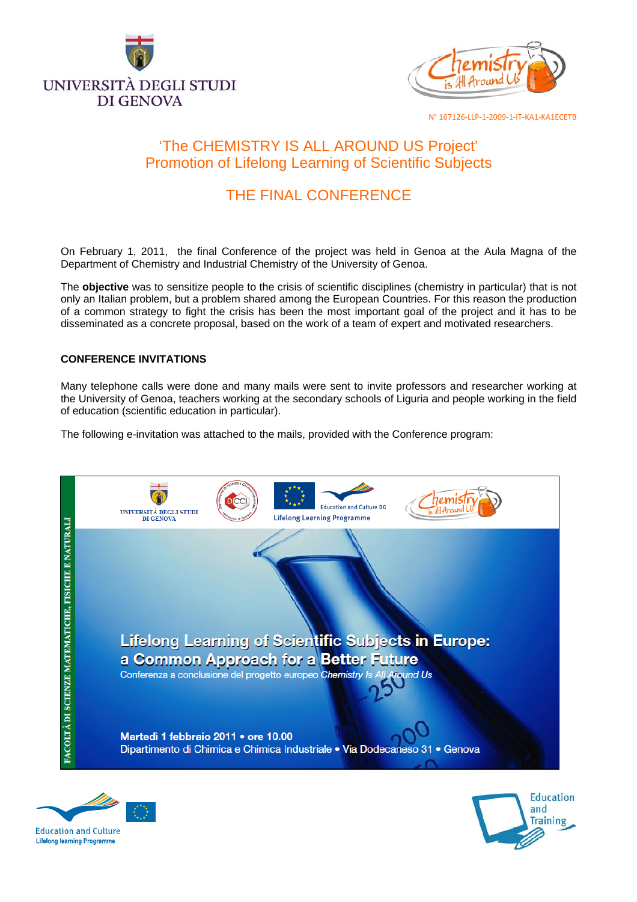



# 'The CHEMISTRY IS ALL AROUND US Project' Promotion of Lifelong Learning of Scientific Subjects

# THE FINAL CONFERENCE

On February 1, 2011, the final Conference of the project was held in Genoa at the Aula Magna of the Department of Chemistry and Industrial Chemistry of the University of Genoa.

The **objective** was to sensitize people to the crisis of scientific disciplines (chemistry in particular) that is not only an Italian problem, but a problem shared among the European Countries. For this reason the production of a common strategy to fight the crisis has been the most important goal of the project and it has to be disseminated as a concrete proposal, based on the work of a team of expert and motivated researchers.

## **CONFERENCE INVITATIONS**

Many telephone calls were done and many mails were sent to invite professors and researcher working at the University of Genoa, teachers working at the secondary schools of Liguria and people working in the field of education (scientific education in particular).

The following e-invitation was attached to the mails, provided with the Conference program:





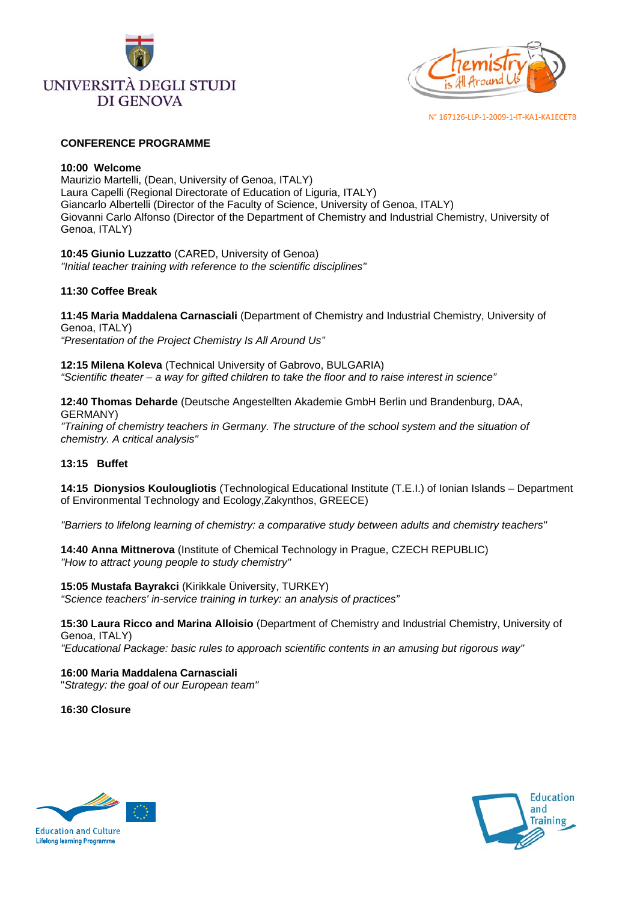



#### **CONFERENCE PROGRAMME**

#### **10:00 Welcome**

Maurizio Martelli, (Dean, University of Genoa, ITALY) Laura Capelli (Regional Directorate of Education of Liguria, ITALY) Giancarlo Albertelli (Director of the Faculty of Science, University of Genoa, ITALY) Giovanni Carlo Alfonso (Director of the Department of Chemistry and Industrial Chemistry, University of Genoa, ITALY)

**10:45 Giunio Luzzatto** (CARED, University of Genoa) *"Initial teacher training with reference to the scientific disciplines"* 

## **11:30 Coffee Break**

**11:45 Maria Maddalena Carnasciali** (Department of Chemistry and Industrial Chemistry, University of Genoa, ITALY) *"Presentation of the Project Chemistry Is All Around Us"* 

**12:15 Milena Koleva** (Technical University of Gabrovo, BULGARIA) *"Scientific theater – a way for gifted children to take the floor and to raise interest in science"* 

**12:40 Thomas Deharde** (Deutsche Angestellten Akademie GmbH Berlin und Brandenburg, DAA, GERMANY)

*"Training of chemistry teachers in Germany. The structure of the school system and the situation of chemistry. A critical analysis"* 

## **13:15 Buffet**

**14:15 Dionysios Koulougliotis** (Technological Educational Institute (T.E.I.) of Ionian Islands – Department of Environmental Technology and Ecology,Zakynthos, GREECE)

*"Barriers to lifelong learning of chemistry: a comparative study between adults and chemistry teachers"* 

**14:40 Anna Mittnerova** (Institute of Chemical Technology in Prague, CZECH REPUBLIC) *"How to attract young people to study chemistry"* 

**15:05 Mustafa Bayrakci** (Kirikkale Üniversity, TURKEY) *"Science teachers' in-service training in turkey: an analysis of practices"* 

**15:30 Laura Ricco and Marina Alloisio** (Department of Chemistry and Industrial Chemistry, University of Genoa, ITALY)

*"Educational Package: basic rules to approach scientific contents in an amusing but rigorous way"* 

**16:00 Maria Maddalena Carnasciali** "*Strategy: the goal of our European team"*

**16:30 Closure** 



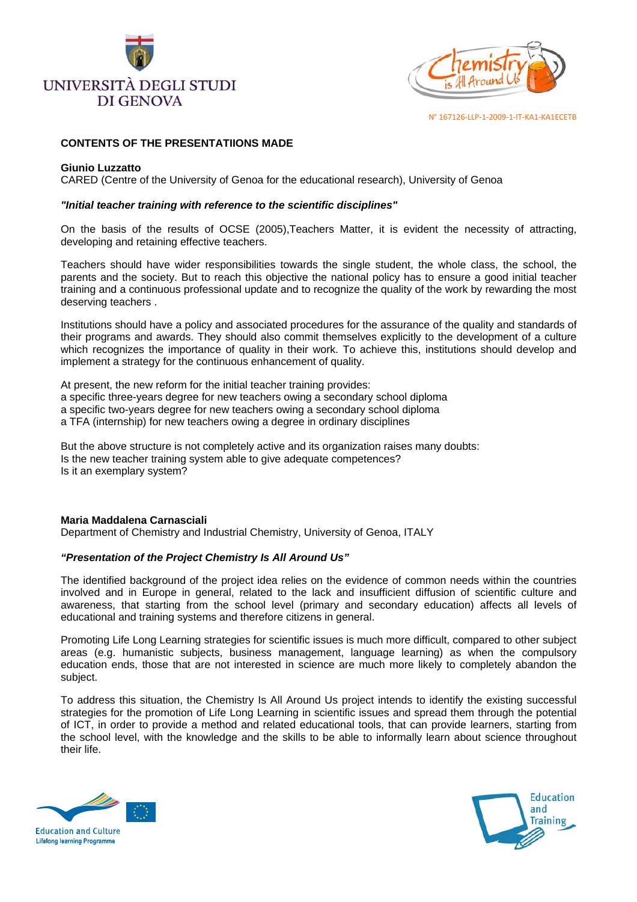



## **CONTENTS OF THE PRESENTATIIONS MADE**

#### **Giunio Luzzatto**

CARED (Centre of the University of Genoa for the educational research), University of Genoa

#### *"Initial teacher training with reference to the scientific disciplines"*

On the basis of the results of OCSE (2005),Teachers Matter, it is evident the necessity of attracting, developing and retaining effective teachers.

Teachers should have wider responsibilities towards the single student, the whole class, the school, the parents and the society. But to reach this objective the national policy has to ensure a good initial teacher training and a continuous professional update and to recognize the quality of the work by rewarding the most deserving teachers .

Institutions should have a policy and associated procedures for the assurance of the quality and standards of their programs and awards. They should also commit themselves explicitly to the development of a culture which recognizes the importance of quality in their work. To achieve this, institutions should develop and implement a strategy for the continuous enhancement of quality.

At present, the new reform for the initial teacher training provides: a specific three-years degree for new teachers owing a secondary school diploma a specific two-years degree for new teachers owing a secondary school diploma a TFA (internship) for new teachers owing a degree in ordinary disciplines

But the above structure is not completely active and its organization raises many doubts: Is the new teacher training system able to give adequate competences? Is it an exemplary system?

#### **Maria Maddalena Carnasciali**

Department of Chemistry and Industrial Chemistry, University of Genoa, ITALY

#### *"Presentation of the Project Chemistry Is All Around Us"*

The identified background of the project idea relies on the evidence of common needs within the countries involved and in Europe in general, related to the lack and insufficient diffusion of scientific culture and awareness, that starting from the school level (primary and secondary education) affects all levels of educational and training systems and therefore citizens in general.

Promoting Life Long Learning strategies for scientific issues is much more difficult, compared to other subject areas (e.g. humanistic subjects, business management, language learning) as when the compulsory education ends, those that are not interested in science are much more likely to completely abandon the subject.

To address this situation, the Chemistry Is All Around Us project intends to identify the existing successful strategies for the promotion of Life Long Learning in scientific issues and spread them through the potential of ICT, in order to provide a method and related educational tools, that can provide learners, starting from the school level, with the knowledge and the skills to be able to informally learn about science throughout their life.



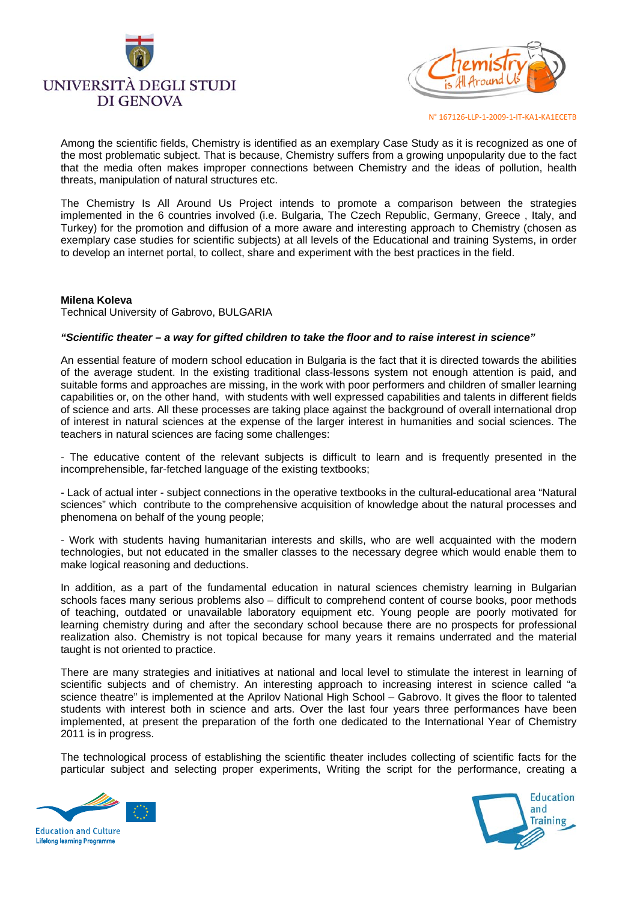



Among the scientific fields, Chemistry is identified as an exemplary Case Study as it is recognized as one of the most problematic subject. That is because, Chemistry suffers from a growing unpopularity due to the fact that the media often makes improper connections between Chemistry and the ideas of pollution, health threats, manipulation of natural structures etc.

The Chemistry Is All Around Us Project intends to promote a comparison between the strategies implemented in the 6 countries involved (i.e. Bulgaria, The Czech Republic, Germany, Greece , Italy, and Turkey) for the promotion and diffusion of a more aware and interesting approach to Chemistry (chosen as exemplary case studies for scientific subjects) at all levels of the Educational and training Systems, in order to develop an internet portal, to collect, share and experiment with the best practices in the field.

#### **Milena Koleva**

Technical University of Gabrovo, BULGARIA

#### *"Scientific theater – a way for gifted children to take the floor and to raise interest in science"*

An essential feature of modern school education in Bulgaria is the fact that it is directed towards the abilities of the average student. In the existing traditional class-lessons system not enough attention is paid, and suitable forms and approaches are missing, in the work with poor performers and children of smaller learning capabilities or, on the other hand, with students with well expressed capabilities and talents in different fields of science and arts. All these processes are taking place against the background of overall international drop of interest in natural sciences at the expense of the larger interest in humanities and social sciences. The teachers in natural sciences are facing some challenges:

- The educative content of the relevant subjects is difficult to learn and is frequently presented in the incomprehensible, far-fetched language of the existing textbooks;

- Lack of actual inter - subject connections in the operative textbooks in the cultural-educational area "Natural sciences" which contribute to the comprehensive acquisition of knowledge about the natural processes and phenomena on behalf of the young people;

- Work with students having humanitarian interests and skills, who are well acquainted with the modern technologies, but not educated in the smaller classes to the necessary degree which would enable them to make logical reasoning and deductions.

In addition, as a part of the fundamental education in natural sciences chemistry learning in Bulgarian schools faces many serious problems also – difficult to comprehend content of course books, poor methods of teaching, outdated or unavailable laboratory equipment etc. Young people are poorly motivated for learning chemistry during and after the secondary school because there are no prospects for professional realization also. Chemistry is not topical because for many years it remains underrated and the material taught is not oriented to practice.

There are many strategies and initiatives at national and local level to stimulate the interest in learning of scientific subjects and of chemistry. An interesting approach to increasing interest in science called "a science theatre" is implemented at the Aprilov National High School – Gabrovo. It gives the floor to talented students with interest both in science and arts. Over the last four years three performances have been implemented, at present the preparation of the forth one dedicated to the International Year of Chemistry 2011 is in progress.

The technological process of establishing the scientific theater includes collecting of scientific facts for the particular subject and selecting proper experiments, Writing the script for the performance, creating a



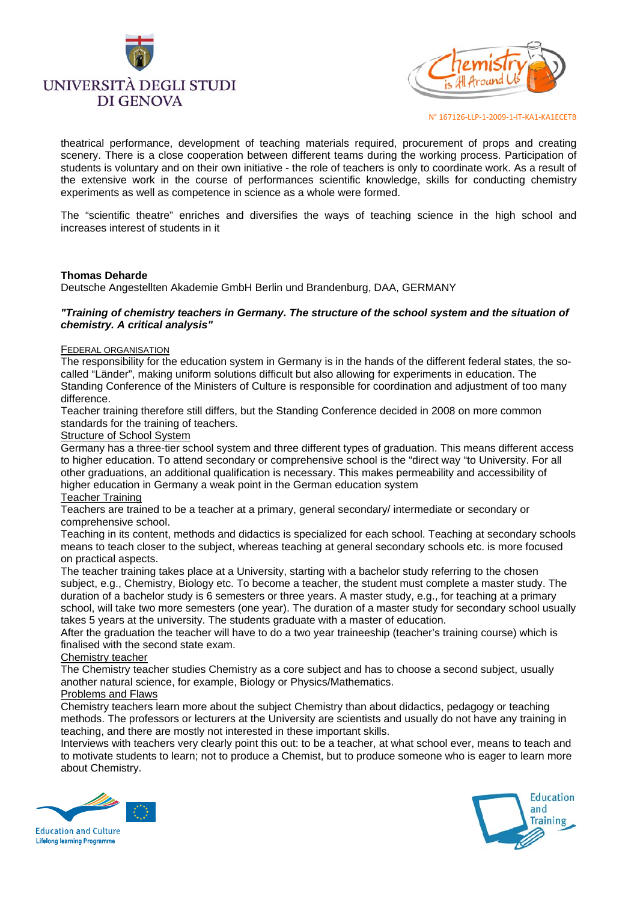



theatrical performance, development of teaching materials required, procurement of props and creating scenery. There is a close cooperation between different teams during the working process. Participation of students is voluntary and on their own initiative - the role of teachers is only to coordinate work. As a result of the extensive work in the course of performances scientific knowledge, skills for conducting chemistry experiments as well as competence in science as a whole were formed.

The "scientific theatre" enriches and diversifies the ways of teaching science in the high school and increases interest of students in it

## **Thomas Deharde**

Deutsche Angestellten Akademie GmbH Berlin und Brandenburg, DAA, GERMANY

#### *"Training of chemistry teachers in Germany. The structure of the school system and the situation of chemistry. A critical analysis"*

#### FEDERAL ORGANISATION

The responsibility for the education system in Germany is in the hands of the different federal states, the socalled "Länder", making uniform solutions difficult but also allowing for experiments in education. The Standing Conference of the Ministers of Culture is responsible for coordination and adjustment of too many difference.

Teacher training therefore still differs, but the Standing Conference decided in 2008 on more common standards for the training of teachers.

Structure of School System

Germany has a three-tier school system and three different types of graduation. This means different access to higher education. To attend secondary or comprehensive school is the "direct way "to University. For all other graduations, an additional qualification is necessary. This makes permeability and accessibility of higher education in Germany a weak point in the German education system

#### Teacher Training

Teachers are trained to be a teacher at a primary, general secondary/ intermediate or secondary or comprehensive school.

Teaching in its content, methods and didactics is specialized for each school. Teaching at secondary schools means to teach closer to the subject, whereas teaching at general secondary schools etc. is more focused on practical aspects.

The teacher training takes place at a University, starting with a bachelor study referring to the chosen subject, e.g., Chemistry, Biology etc. To become a teacher, the student must complete a master study. The duration of a bachelor study is 6 semesters or three years. A master study, e.g., for teaching at a primary school, will take two more semesters (one year). The duration of a master study for secondary school usually takes 5 years at the university. The students graduate with a master of education.

After the graduation the teacher will have to do a two year traineeship (teacher's training course) which is finalised with the second state exam.

#### Chemistry teacher

The Chemistry teacher studies Chemistry as a core subject and has to choose a second subject, usually another natural science, for example, Biology or Physics/Mathematics.

#### Problems and Flaws

Chemistry teachers learn more about the subject Chemistry than about didactics, pedagogy or teaching methods. The professors or lecturers at the University are scientists and usually do not have any training in teaching, and there are mostly not interested in these important skills.

Interviews with teachers very clearly point this out: to be a teacher, at what school ever, means to teach and to motivate students to learn; not to produce a Chemist, but to produce someone who is eager to learn more about Chemistry.



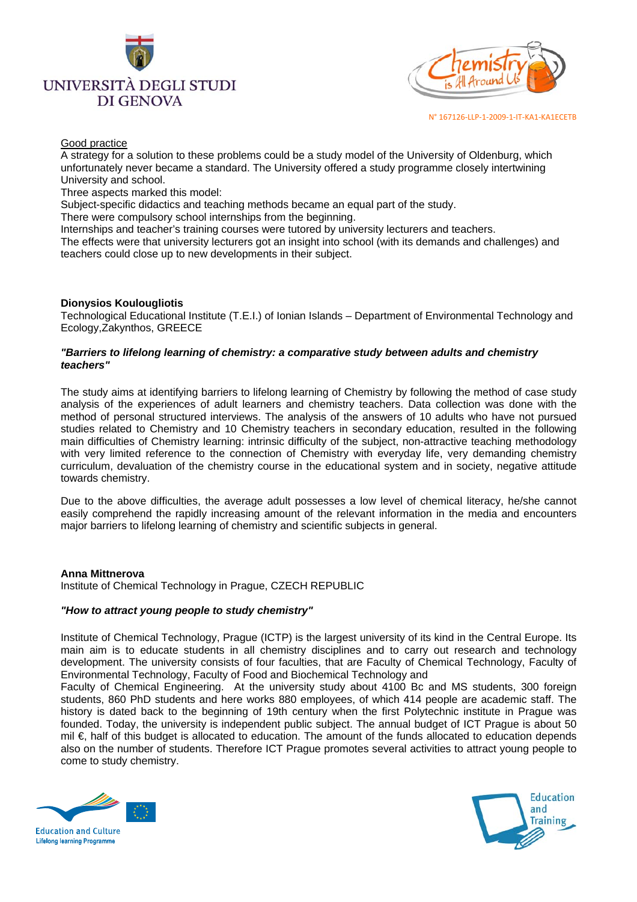



#### Good practice

A strategy for a solution to these problems could be a study model of the University of Oldenburg, which unfortunately never became a standard. The University offered a study programme closely intertwining University and school.

Three aspects marked this model:

Subject-specific didactics and teaching methods became an equal part of the study.

There were compulsory school internships from the beginning.

Internships and teacher's training courses were tutored by university lecturers and teachers.

The effects were that university lecturers got an insight into school (with its demands and challenges) and teachers could close up to new developments in their subject.

## **Dionysios Koulougliotis**

Technological Educational Institute (T.E.I.) of Ionian Islands – Department of Environmental Technology and Ecology,Zakynthos, GREECE

#### *"Barriers to lifelong learning of chemistry: a comparative study between adults and chemistry teachers"*

The study aims at identifying barriers to lifelong learning of Chemistry by following the method of case study analysis of the experiences of adult learners and chemistry teachers. Data collection was done with the method of personal structured interviews. The analysis of the answers of 10 adults who have not pursued studies related to Chemistry and 10 Chemistry teachers in secondary education, resulted in the following main difficulties of Chemistry learning: intrinsic difficulty of the subject, non-attractive teaching methodology with very limited reference to the connection of Chemistry with everyday life, very demanding chemistry curriculum, devaluation of the chemistry course in the educational system and in society, negative attitude towards chemistry.

Due to the above difficulties, the average adult possesses a low level of chemical literacy, he/she cannot easily comprehend the rapidly increasing amount of the relevant information in the media and encounters major barriers to lifelong learning of chemistry and scientific subjects in general.

## **Anna Mittnerova**

Institute of Chemical Technology in Prague, CZECH REPUBLIC

#### *"How to attract young people to study chemistry"*

Institute of Chemical Technology, Prague (ICTP) is the largest university of its kind in the Central Europe. Its main aim is to educate students in all chemistry disciplines and to carry out research and technology development. The university consists of four faculties, that are Faculty of Chemical Technology, Faculty of Environmental Technology, Faculty of Food and Biochemical Technology and

Faculty of Chemical Engineering. At the university study about 4100 Bc and MS students, 300 foreign students, 860 PhD students and here works 880 employees, of which 414 people are academic staff. The history is dated back to the beginning of 19th century when the first Polytechnic institute in Prague was founded. Today, the university is independent public subject. The annual budget of ICT Prague is about 50 mil €, half of this budget is allocated to education. The amount of the funds allocated to education depends also on the number of students. Therefore ICT Prague promotes several activities to attract young people to come to study chemistry.



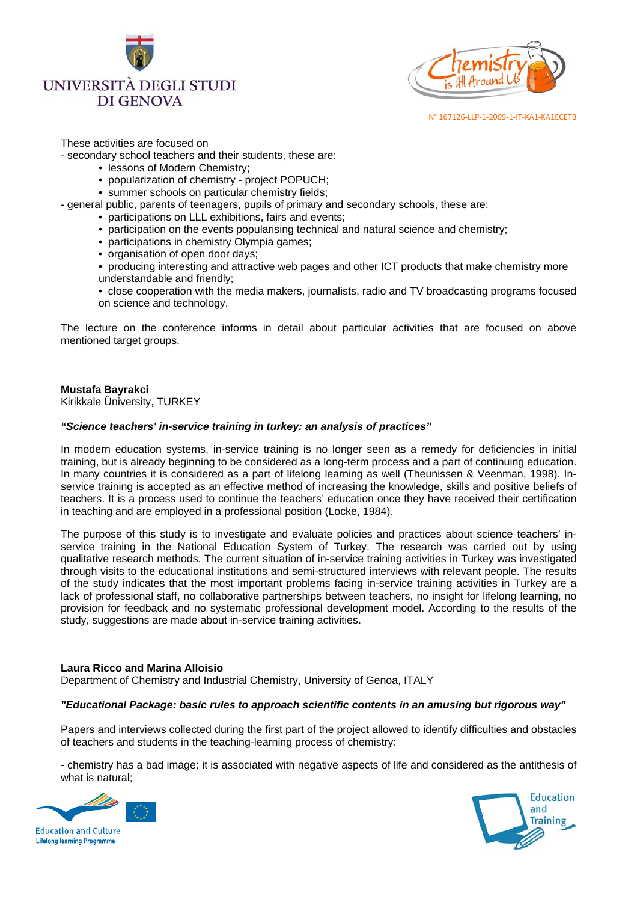



## These activities are focused on

- secondary school teachers and their students, these are:

- lessons of Modern Chemistry;
- popularization of chemistry project POPUCH;
- summer schools on particular chemistry fields:
- general public, parents of teenagers, pupils of primary and secondary schools, these are:
	- participations on LLL exhibitions, fairs and events;
	- participation on the events popularising technical and natural science and chemistry;
	- participations in chemistry Olympia games;
	- organisation of open door days;
	- producing interesting and attractive web pages and other ICT products that make chemistry more understandable and friendly;
	- close cooperation with the media makers, journalists, radio and TV broadcasting programs focused on science and technology.

The lecture on the conference informs in detail about particular activities that are focused on above mentioned target groups.

# **Mustafa Bayrakci**

Kirikkale Üniversity, TURKEY

## *"Science teachers' in-service training in turkey: an analysis of practices"*

In modern education systems, in-service training is no longer seen as a remedy for deficiencies in initial training, but is already beginning to be considered as a long-term process and a part of continuing education. In many countries it is considered as a part of lifelong learning as well (Theunissen & Veenman, 1998). Inservice training is accepted as an effective method of increasing the knowledge, skills and positive beliefs of teachers. It is a process used to continue the teachers' education once they have received their certification in teaching and are employed in a professional position (Locke, 1984).

The purpose of this study is to investigate and evaluate policies and practices about science teachers' inservice training in the National Education System of Turkey. The research was carried out by using qualitative research methods. The current situation of in-service training activities in Turkey was investigated through visits to the educational institutions and semi-structured interviews with relevant people. The results of the study indicates that the most important problems facing in-service training activities in Turkey are a lack of professional staff, no collaborative partnerships between teachers, no insight for lifelong learning, no provision for feedback and no systematic professional development model. According to the results of the study, suggestions are made about in-service training activities.

#### **Laura Ricco and Marina Alloisio**

Department of Chemistry and Industrial Chemistry, University of Genoa, ITALY

## *"Educational Package: basic rules to approach scientific contents in an amusing but rigorous way"*

Papers and interviews collected during the first part of the project allowed to identify difficulties and obstacles of teachers and students in the teaching-learning process of chemistry:

- chemistry has a bad image: it is associated with negative aspects of life and considered as the antithesis of what is natural;



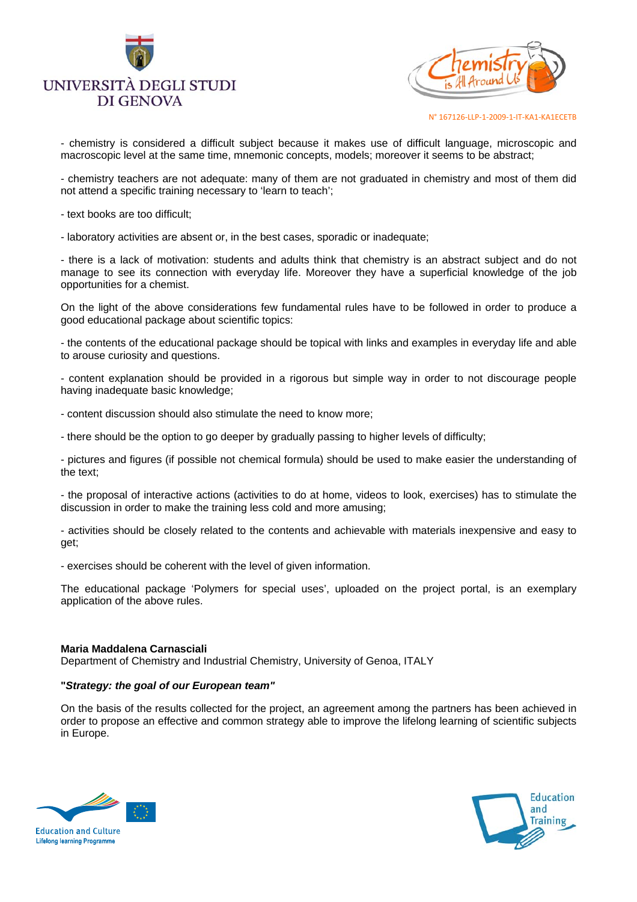



- chemistry is considered a difficult subject because it makes use of difficult language, microscopic and macroscopic level at the same time, mnemonic concepts, models; moreover it seems to be abstract;

- chemistry teachers are not adequate: many of them are not graduated in chemistry and most of them did not attend a specific training necessary to 'learn to teach';

- text books are too difficult;

- laboratory activities are absent or, in the best cases, sporadic or inadequate;

- there is a lack of motivation: students and adults think that chemistry is an abstract subject and do not manage to see its connection with everyday life. Moreover they have a superficial knowledge of the job opportunities for a chemist.

On the light of the above considerations few fundamental rules have to be followed in order to produce a good educational package about scientific topics:

- the contents of the educational package should be topical with links and examples in everyday life and able to arouse curiosity and questions.

- content explanation should be provided in a rigorous but simple way in order to not discourage people having inadequate basic knowledge;

- content discussion should also stimulate the need to know more;

- there should be the option to go deeper by gradually passing to higher levels of difficulty;

- pictures and figures (if possible not chemical formula) should be used to make easier the understanding of the text;

- the proposal of interactive actions (activities to do at home, videos to look, exercises) has to stimulate the discussion in order to make the training less cold and more amusing;

- activities should be closely related to the contents and achievable with materials inexpensive and easy to get;

- exercises should be coherent with the level of given information.

The educational package 'Polymers for special uses', uploaded on the project portal, is an exemplary application of the above rules.

#### **Maria Maddalena Carnasciali**

Department of Chemistry and Industrial Chemistry, University of Genoa, ITALY

## **"***Strategy: the goal of our European team"*

On the basis of the results collected for the project, an agreement among the partners has been achieved in order to propose an effective and common strategy able to improve the lifelong learning of scientific subjects in Europe.